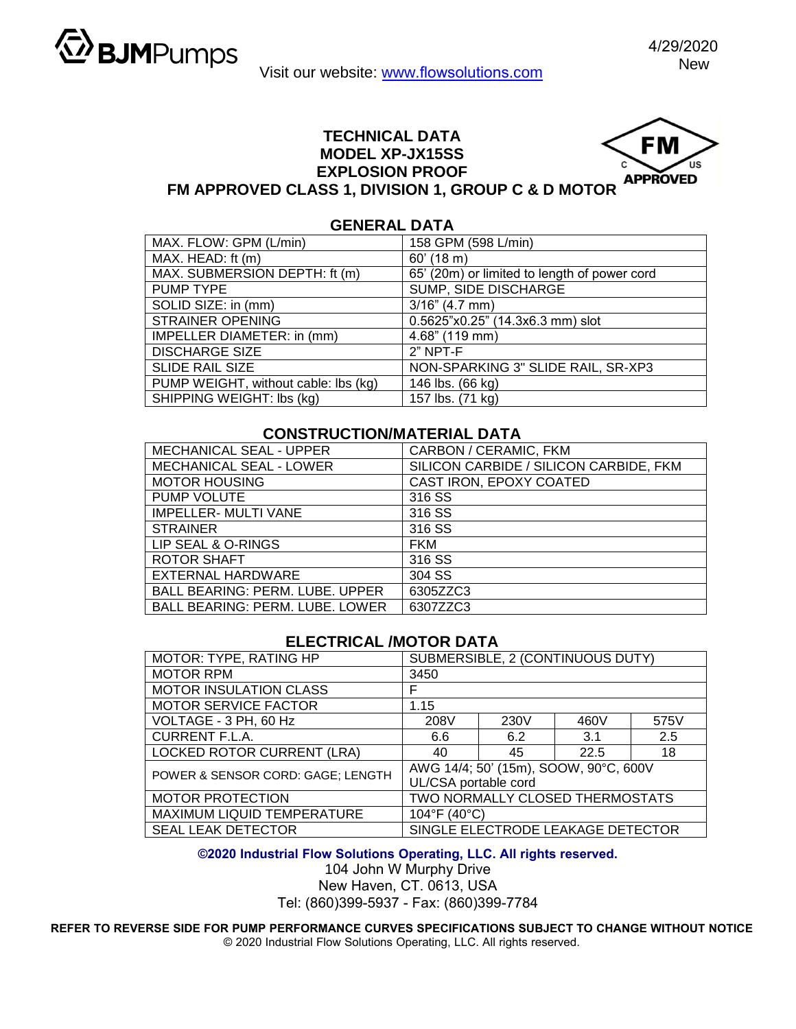

Visit our website: www.flowsolutions.com

## **TECHNICAL DATA MODEL XP-JX15SS EXPLOSION PROOF**

**GENERAL DATA** 



## **FM APPROVED CLASS 1, DIVISION 1, GROUP C & D MOTOR**

| GENERAL DATA                         |                                              |  |  |  |
|--------------------------------------|----------------------------------------------|--|--|--|
| MAX. FLOW: GPM (L/min)               | 158 GPM (598 L/min)                          |  |  |  |
| MAX. HEAD: ft (m)                    | $60'$ (18 m)                                 |  |  |  |
| MAX. SUBMERSION DEPTH: ft (m)        | 65' (20m) or limited to length of power cord |  |  |  |
| PUMP TYPE                            | SUMP, SIDE DISCHARGE                         |  |  |  |
| SOLID SIZE: in (mm)                  | $3/16$ " (4.7 mm)                            |  |  |  |
| <b>STRAINER OPENING</b>              | 0.5625"x0.25" (14.3x6.3 mm) slot             |  |  |  |
| IMPELLER DIAMETER: in (mm)           | 4.68" (119 mm)                               |  |  |  |
| <b>DISCHARGE SIZE</b>                | $2"$ NPT-F                                   |  |  |  |
| <b>SLIDE RAIL SIZE</b>               | NON-SPARKING 3" SLIDE RAIL, SR-XP3           |  |  |  |
| PUMP WEIGHT, without cable: lbs (kg) | 146 lbs. (66 kg)                             |  |  |  |
| SHIPPING WEIGHT: Ibs (kg)            | 157 lbs. (71 kg)                             |  |  |  |

## **CONSTRUCTION/MATERIAL DATA**

| MECHANICAL SEAL - UPPER                | CARBON / CERAMIC, FKM                  |  |  |
|----------------------------------------|----------------------------------------|--|--|
| MECHANICAL SEAL - LOWER                | SILICON CARBIDE / SILICON CARBIDE, FKM |  |  |
| <b>MOTOR HOUSING</b>                   | CAST IRON, EPOXY COATED                |  |  |
| <b>PUMP VOLUTE</b>                     | 316 SS                                 |  |  |
| <b>IMPELLER- MULTI VANE</b>            | 316 SS                                 |  |  |
| <b>STRAINER</b>                        | 316 SS                                 |  |  |
| LIP SEAL & O-RINGS                     | <b>FKM</b>                             |  |  |
| <b>ROTOR SHAFT</b>                     | 316 SS                                 |  |  |
| <b>EXTERNAL HARDWARE</b>               | 304 SS                                 |  |  |
| <b>BALL BEARING: PERM. LUBE. UPPER</b> | 6305ZZC3                               |  |  |
| <b>BALL BEARING: PERM. LUBE. LOWER</b> | 6307ZZC3                               |  |  |

## **ELECTRICAL /MOTOR DATA**

| MOTOR: TYPE, RATING HP            | SUBMERSIBLE, 2 (CONTINUOUS DUTY)      |      |      |      |  |
|-----------------------------------|---------------------------------------|------|------|------|--|
| <b>MOTOR RPM</b>                  | 3450                                  |      |      |      |  |
| <b>MOTOR INSULATION CLASS</b>     | F                                     |      |      |      |  |
| <b>MOTOR SERVICE FACTOR</b>       | 1.15                                  |      |      |      |  |
| VOLTAGE - 3 PH, 60 Hz             | 208V                                  | 230V | 460V | 575V |  |
| <b>CURRENT F.L.A.</b>             | 6.6                                   | 6.2  | 3.1  | 2.5  |  |
| <b>LOCKED ROTOR CURRENT (LRA)</b> | 40                                    | 45   | 22.5 | 18   |  |
| POWER & SENSOR CORD: GAGE; LENGTH | AWG 14/4; 50' (15m), SOOW, 90°C, 600V |      |      |      |  |
|                                   | UL/CSA portable cord                  |      |      |      |  |
| <b>MOTOR PROTECTION</b>           | TWO NORMALLY CLOSED THERMOSTATS       |      |      |      |  |
| MAXIMUM LIQUID TEMPERATURE        | 104°F (40°C)                          |      |      |      |  |
| <b>SEAL LEAK DETECTOR</b>         | SINGLE ELECTRODE LEAKAGE DETECTOR     |      |      |      |  |

**©2020 Industrial Flow Solutions Operating, LLC. All rights reserved.**

104 John W Murphy Drive

New Haven, CT. 0613, USA Tel: (860)399-5937 - Fax: (860)399-7784

**REFER TO REVERSE SIDE FOR PUMP PERFORMANCE CURVES SPECIFICATIONS SUBJECT TO CHANGE WITHOUT NOTICE**  © 2020 Industrial Flow Solutions Operating, LLC. All rights reserved.